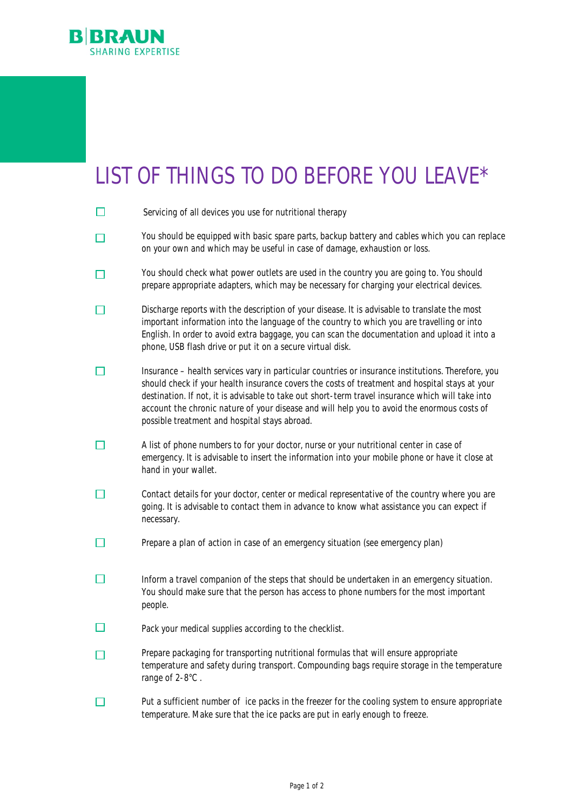

## LIST OF THINGS TO DO BEFORE YOU LEAVE\*

| Servicing of all devices you use for nutritional therapy                                                                                                                                                                                                                                                                                                                                                                                                  |
|-----------------------------------------------------------------------------------------------------------------------------------------------------------------------------------------------------------------------------------------------------------------------------------------------------------------------------------------------------------------------------------------------------------------------------------------------------------|
| You should be equipped with basic spare parts, backup battery and cables which you can replace<br>on your own and which may be useful in case of damage, exhaustion or loss.                                                                                                                                                                                                                                                                              |
| You should check what power outlets are used in the country you are going to. You should<br>prepare appropriate adapters, which may be necessary for charging your electrical devices.                                                                                                                                                                                                                                                                    |
| Discharge reports with the description of your disease. It is advisable to translate the most<br>important information into the language of the country to which you are travelling or into<br>English. In order to avoid extra baggage, you can scan the documentation and upload it into a<br>phone, USB flash drive or put it on a secure virtual disk.                                                                                                |
| Insurance - health services vary in particular countries or insurance institutions. Therefore, you<br>should check if your health insurance covers the costs of treatment and hospital stays at your<br>destination. If not, it is advisable to take out short-term travel insurance which will take into<br>account the chronic nature of your disease and will help you to avoid the enormous costs of<br>possible treatment and hospital stays abroad. |
| A list of phone numbers to for your doctor, nurse or your nutritional center in case of<br>emergency. It is advisable to insert the information into your mobile phone or have it close at<br>hand in your wallet.                                                                                                                                                                                                                                        |
| Contact details for your doctor, center or medical representative of the country where you are<br>going. It is advisable to contact them in advance to know what assistance you can expect if<br>necessary.                                                                                                                                                                                                                                               |
| Prepare a plan of action in case of an emergency situation (see emergency plan)                                                                                                                                                                                                                                                                                                                                                                           |
| Inform a travel companion of the steps that should be undertaken in an emergency situation.<br>You should make sure that the person has access to phone numbers for the most important<br>people.                                                                                                                                                                                                                                                         |
| Pack your medical supplies according to the checklist.                                                                                                                                                                                                                                                                                                                                                                                                    |
| Prepare packaging for transporting nutritional formulas that will ensure appropriate<br>temperature and safety during transport. Compounding bags require storage in the temperature<br>range of 2-8°C.                                                                                                                                                                                                                                                   |
| Put a sufficient number of ice packs in the freezer for the cooling system to ensure appropriate<br>temperature. Make sure that the ice packs are put in early enough to freeze.                                                                                                                                                                                                                                                                          |